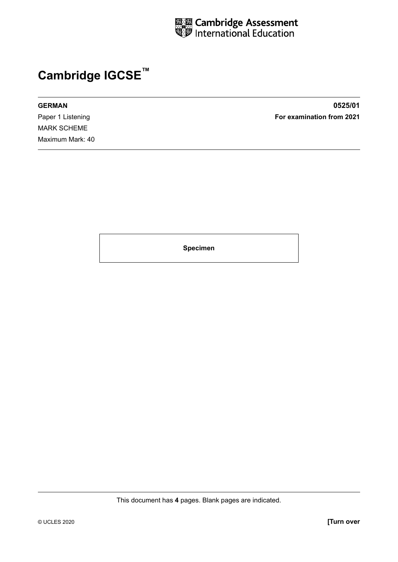

## **Cambridge IGCSE™**

MARK SCHEME Maximum Mark: 40

**GERMAN 0525/01** Paper 1 Listening **For examination from 2021**

**Specimen**

This document has **4** pages. Blank pages are indicated.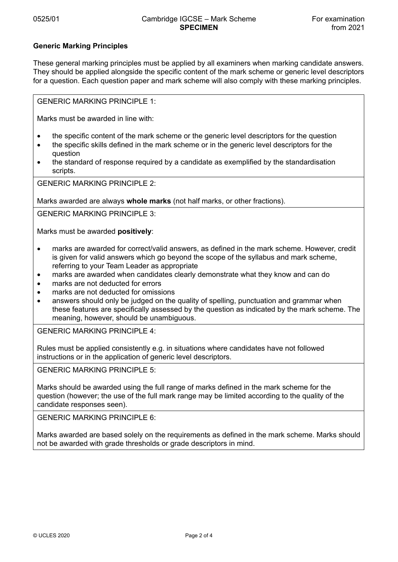## **Generic Marking Principles**

These general marking principles must be applied by all examiners when marking candidate answers. They should be applied alongside the specific content of the mark scheme or generic level descriptors for a question. Each question paper and mark scheme will also comply with these marking principles.

GENERIC MARKING PRINCIPLE 1:

Marks must be awarded in line with:

- the specific content of the mark scheme or the generic level descriptors for the question
- the specific skills defined in the mark scheme or in the generic level descriptors for the question
- the standard of response required by a candidate as exemplified by the standardisation scripts.

GENERIC MARKING PRINCIPLE 2:

Marks awarded are always **whole marks** (not half marks, or other fractions).

GENERIC MARKING PRINCIPLE 3:

Marks must be awarded **positively**:

- marks are awarded for correct/valid answers, as defined in the mark scheme. However, credit is given for valid answers which go beyond the scope of the syllabus and mark scheme, referring to your Team Leader as appropriate
- marks are awarded when candidates clearly demonstrate what they know and can do
- marks are not deducted for errors
- marks are not deducted for omissions
- answers should only be judged on the quality of spelling, punctuation and grammar when these features are specifically assessed by the question as indicated by the mark scheme. The meaning, however, should be unambiguous.

GENERIC MARKING PRINCIPLE 4:

Rules must be applied consistently e.g. in situations where candidates have not followed instructions or in the application of generic level descriptors.

GENERIC MARKING PRINCIPLE 5:

Marks should be awarded using the full range of marks defined in the mark scheme for the question (however; the use of the full mark range may be limited according to the quality of the candidate responses seen).

GENERIC MARKING PRINCIPLE 6:

Marks awarded are based solely on the requirements as defined in the mark scheme. Marks should not be awarded with grade thresholds or grade descriptors in mind.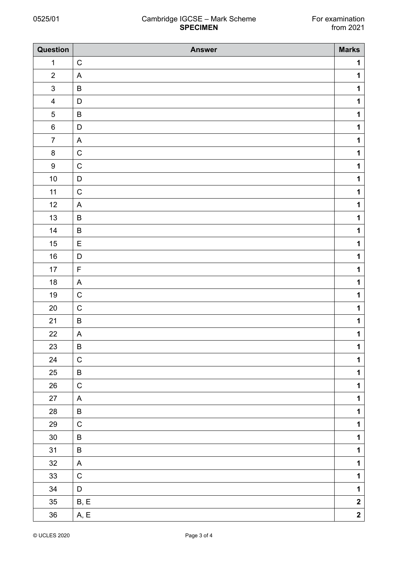## 0525/01 Cambridge IGCSE – Mark Scheme For examination<br>from 2021 **SPECIMEN**

| Question                | <b>Answer</b>             | <b>Marks</b>            |
|-------------------------|---------------------------|-------------------------|
| $\mathbf 1$             | $\mathsf C$               | $\mathbf 1$             |
| $\sqrt{2}$              | $\boldsymbol{\mathsf{A}}$ | $\mathbf 1$             |
| $\mathsf 3$             | $\sf B$                   | $\mathbf 1$             |
| $\overline{\mathbf{4}}$ | $\mathsf D$               | $\mathbf 1$             |
| $\mathbf 5$             | $\sf B$                   | $\mathbf 1$             |
| $\,6\,$                 | $\mathsf D$               | $\mathbf 1$             |
| $\overline{7}$          | $\boldsymbol{\mathsf{A}}$ | $\mathbf 1$             |
| $\bf 8$                 | $\mathsf C$               | $\mathbf 1$             |
| $\boldsymbol{9}$        | $\mathbf C$               | $\mathbf 1$             |
| $10$                    | $\mathsf D$               | $\mathbf 1$             |
| 11                      | $\mathsf C$               | $\mathbf 1$             |
| 12                      | $\boldsymbol{\mathsf{A}}$ | $\mathbf 1$             |
| $13$                    | $\sf B$                   | $\mathbf 1$             |
| 14                      | $\sf B$                   | $\mathbf 1$             |
| $15\,$                  | E                         | $\mathbf 1$             |
| $16\,$                  | $\mathsf D$               | $\mathbf 1$             |
| $17$                    | $\mathsf F$               | $\mathbf 1$             |
| $18$                    | $\boldsymbol{\mathsf{A}}$ | $\mathbf 1$             |
| $19$                    | $\mathsf C$               | $\mathbf 1$             |
| $20\,$                  | $\mathsf C$               | $\mathbf 1$             |
| 21                      | $\sf B$                   | $\mathbf 1$             |
| 22                      | $\boldsymbol{\mathsf{A}}$ | $\mathbf 1$             |
| 23                      | B                         | $\mathbf 1$             |
| 24                      | ${\bf C}$                 | $\mathbf 1$             |
| $25\,$                  | $\sf B$                   | $\mathbf 1$             |
| 26                      | ${\bf C}$                 | $\mathbf 1$             |
| $27\,$                  | $\mathsf{A}$              | $\mathbf 1$             |
| 28                      | $\sf B$                   | $\mathbf 1$             |
| 29                      | $\mathsf C$               | $\mathbf 1$             |
| $30\,$                  | $\sf B$                   | $\mathbf 1$             |
| 31                      | $\sf B$                   | $\mathbf 1$             |
| $32\,$                  | $\mathsf{A}$              | $\mathbf 1$             |
| $33\,$                  | ${\bf C}$                 | $\mathbf{1}$            |
| $34\,$                  | $\mathsf D$               | $\mathbf 1$             |
| $35\,$                  | B, E                      | $\mathbf 2$             |
| 36                      | $\mathsf{A}, \mathsf{E}$  | $\overline{\mathbf{2}}$ |